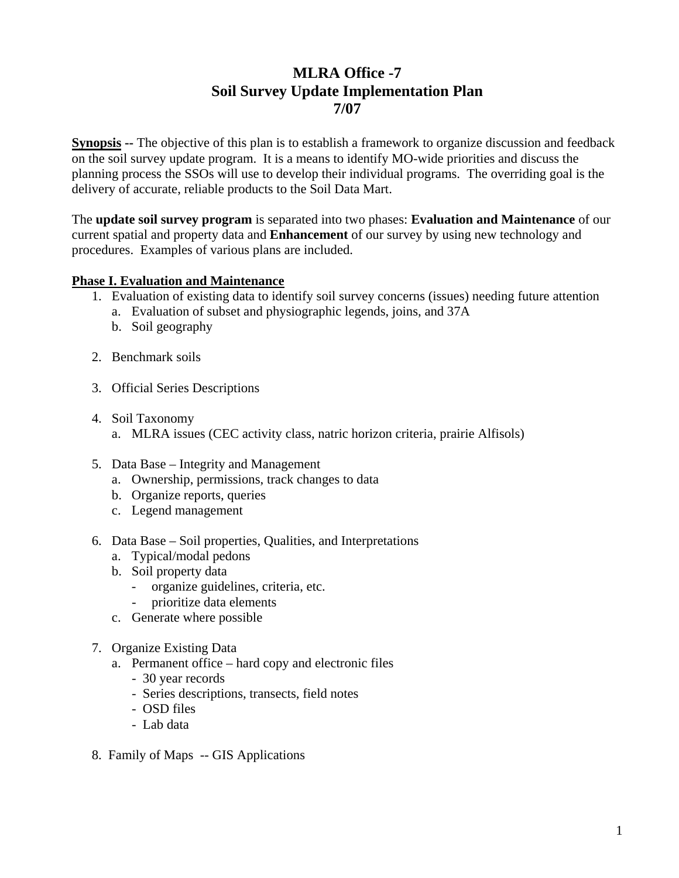## **MLRA Office -7 Soil Survey Update Implementation Plan 7/07**

**Synopsis --** The objective of this plan is to establish a framework to organize discussion and feedback on the soil survey update program. It is a means to identify MO-wide priorities and discuss the planning process the SSOs will use to develop their individual programs. The overriding goal is the delivery of accurate, reliable products to the Soil Data Mart.

The **update soil survey program** is separated into two phases: **Evaluation and Maintenance** of our current spatial and property data and **Enhancement** of our survey by using new technology and procedures. Examples of various plans are included.

## **Phase I. Evaluation and Maintenance**

- 1. Evaluation of existing data to identify soil survey concerns (issues) needing future attention
	- a. Evaluation of subset and physiographic legends, joins, and 37A
	- b. Soil geography
- 2. Benchmark soils
- 3. Official Series Descriptions
- 4. Soil Taxonomy a. MLRA issues (CEC activity class, natric horizon criteria, prairie Alfisols)
- 5. Data Base Integrity and Management
	- a. Ownership, permissions, track changes to data
	- b. Organize reports, queries
	- c. Legend management
- 6. Data Base Soil properties, Qualities, and Interpretations
	- a. Typical/modal pedons
	- b. Soil property data
		- organize guidelines, criteria, etc.
		- prioritize data elements
	- c. Generate where possible
- 7. Organize Existing Data
	- a. Permanent office hard copy and electronic files
		- 30 year records
		- Series descriptions, transects, field notes
		- OSD files
		- Lab data
- 8. Family of Maps -- GIS Applications